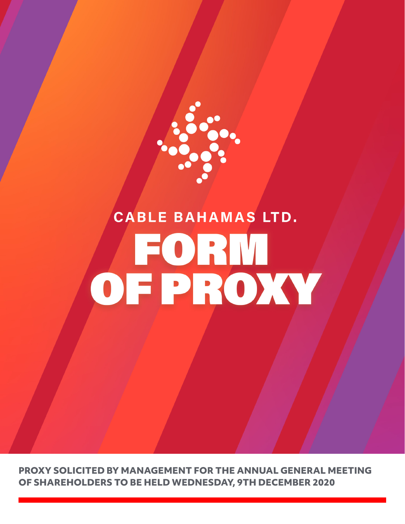

## **CABLE BAHAMAS LTD.** OFPROXY

**PROXY SOLICITED BY MANAGEMENT FOR THE ANNUAL GENERAL MEETING OF SHAREHOLDERS TO BE HELD WEDNESDAY, 9TH DECEMBER 2020**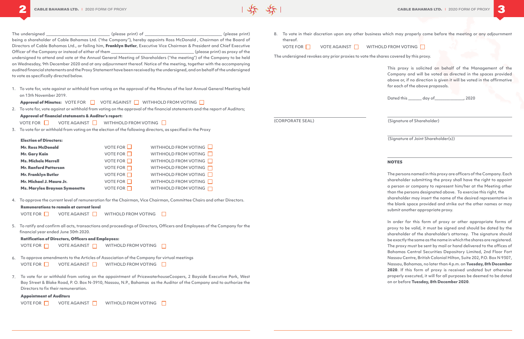

- The undersigned example and the undersigned the undersigned  $($ please print) of  $($ being a shareholder of Cable Bahamas Ltd. ("the Company"), hereby appoints Ross McDonald , Chairman of the Board of Directors of Cable Bahamas Ltd., or failing him, Franklyn Butler, Executive Vice Chairman & President and Chief Executive Officer of the Company or instead of either of them \_\_\_\_\_\_\_\_\_\_\_\_\_\_\_\_\_\_\_\_\_\_\_\_\_\_\_\_\_\_\_\_\_\_\_\_\_\_\_\_\_\_\_ (please print) as proxy of the undersigned to attend and vote at the Annual General Meeting of Shareholders ("the meeting") of the Company to be held on Wednesday, 9th December 2020 and at any adjournment thereof. Notice of the meeting, together with the accompanying audited financial statements and the Proxy Statement have been received by the undersigned, and on behalf of the undersigned to vote as specifically directed below.
- 1. To vote for, vote against or withhold from voting on the approval of the Minutes of the last Annual General Meeting held on 13th November 2019.

Approval of Minutes:  $V$ OTE FOR  $\Box$  VOTE AGAINST  $\Box$  WITHHOLD FROM VOTING  $\Box$ 

2. To vote for, vote against or withhold from voting on the approval of the financial statements and the report of Auditors; Approval of financial statements & Auditor's report:

VOTE FOR  $\Box$  VOTE AGAINST  $\Box$  WITHHOLD FROM VOTING  $\Box$ 

3. To vote for or withhold from voting on the election of the following directors, as specified in the Proxy

Election of Directors:

| <b>Mr. Ross McDonald</b>             | VOTE FOR $\Box$    | WITHHOLD FROM VOTING           |
|--------------------------------------|--------------------|--------------------------------|
| <b>Mr. Gary Kain</b>                 | VOTE FOR $\square$ | WITHHOLD FROM VOTING $\square$ |
| <b>Ms. Michele Merrell</b>           | VOTE FOR $\Box$    | WITHHOLD FROM VOTING           |
| <b>Mr. Ranford Patterson</b>         | VOTE FOR $\Box$    | WITHHOLD FROM VOTING           |
| <b>Mr. Franklyn Butler</b>           | VOTE FOR $\Box$    | WITHHOLD FROM VOTING $\square$ |
| Mr. Michael J. Maura Jr.             | VOTE FOR $\Box$    | WITHHOLD FROM VOTING           |
| <b>Ms. Marylee Braynen Symonette</b> | VOTE FOR $\Box$    | <b>WITHHOLD FROM VOTING</b>    |

4. To approve the current level of remuneration for the Chairman, Vice Chairman, Committee Chairs and other Directors.

The undersigned revokes any prior proxies to vote the shares covered by this proxy.

This proxy is solicited on behalf of the Management of the Company and will be voted as directed in the spaces provided above or, if no direction is given it will be voted in the affirmative for each of the above proposals.

Dated this \_\_\_\_\_\_\_ day of\_\_\_\_\_\_\_\_\_\_\_\_\_\_\_, 2020

| 4.             | To approve the current level of remuneration for the Chairman, Vice Chairman, Committee Chairs and other Directors.                                                 |
|----------------|---------------------------------------------------------------------------------------------------------------------------------------------------------------------|
|                | Remunerations to remain at current level                                                                                                                            |
|                | VOTE AGAINST VIITHOLD FROM VOTING<br>VOTE FOR                                                                                                                       |
|                | 5. To ratify and confirm all acts, transactions and proceedings of Directors, Officers and Employees of the Company for the<br>financial year ended June 30th 2020. |
|                | <b>Ratification of Directors, Officers and Employees:</b>                                                                                                           |
|                | VOTE AGAINST $\Box$ WITHOLD FROM VOTING<br>VOTE FOR $\Box$                                                                                                          |
| 6.             | To approve amendments to the Articles of Association of the Company for virtual meetings                                                                            |
|                | VOTE FOR VOTE AGAINST WITHOLD FROM VOTING                                                                                                                           |
| 7 <sub>1</sub> | To vote for or withhold from voting on the appointment of PricewaterhouseCoopers, 2 Bayside Executive Park, West                                                    |
|                | Bay Street & Blake Road, P. O. Box N-3910, Nassau, N.P., Bahamas as the Auditor of the Company and to authorize the<br>Directors to fix their remuneration.         |
|                | <b>Appointment of Auditors</b>                                                                                                                                      |
|                | VOTE AGAINST $\Box$<br>VOTE FOR $\Box$<br><b>WITHOLD FROM VOTING</b>                                                                                                |

thereof.

VOTE FOR VOTE AGAINST WITHOLD FROM VOTING

(CORPORATE SEAL) (Signature of Shareholder)

(Signature of Joint Shareholder(s))

## **NOTES**

The persons named in this proxy are officers of the Company. Each shareholder submitting the proxy shall have the right to appoint a person or company to represent him/her at the Meeting other than the persons designated above. To exercise this right, the shareholder may insert the name of the desired representative in the blank space provided and strike out the other names or may submit another appropriate proxy.

To vote in their discretion upon any other business which may properly come before the meeting or any adjournment 8.

In order for this form of proxy or other appropriate forms of proxy to be valid, it must be signed and should be dated by the shareholder of the shareholder's attorney. The signature should be exactly the same as the name in which the shares are registered. The proxy must be sent by mail or hand delivered to the offices of Bahamas Central Securities Depository Limited, 2nd Floor Fort Nassau Centre, British Colonial Hilton, Suite 202, P.O. Box N 9307, Nassau, Bahamas, no later than 4 p.m. on **Tuesday, 8th December 2020**. If this form of proxy is received undated but otherwise properly executed, it will for all purposes be deemed to be dated on or before **Tuesday, 8th December 2020**.